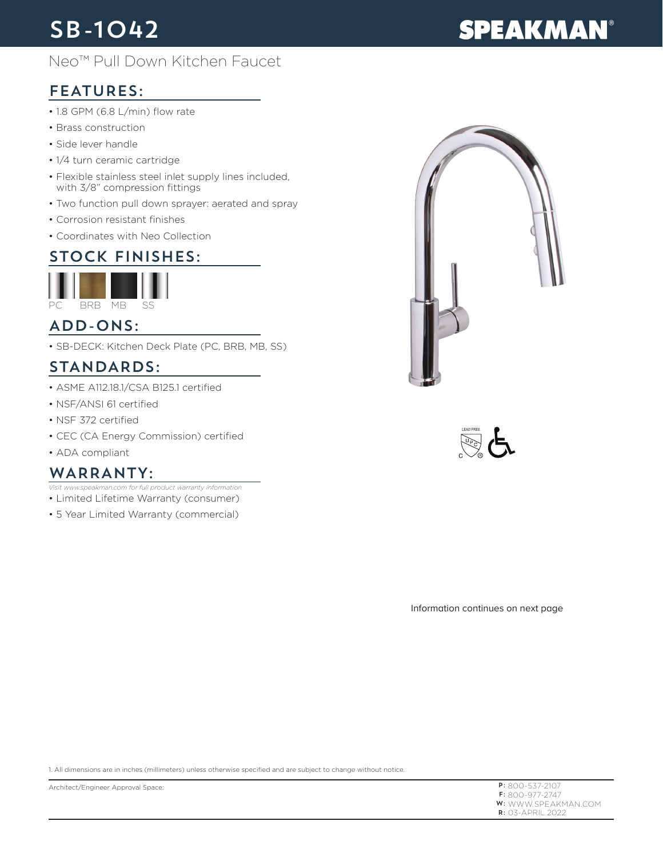### SB-1042

# **SPEAKMAN®**

### Neo<sup>™</sup> Pull Down Kitchen Faucet

### FEATURES:

- 1.8 GPM (6.8 L/min) flow rate
- Brass construction
- Side lever handle
- 1/4 turn ceramic cartridge
- Flexible stainless steel inlet supply lines included, with 3/8" compression fittings
- Two function pull down sprayer: aerated and spray
- Corrosion resistant finishes
- Coordinates with Neo Collection

#### STOCK FINISHES:



#### ADD-ONS:

• SB-DECK: Kitchen Deck Plate (PC, BRB, MB, SS)

#### STANDARDS:

- ASME A112.18.1/CSA B125.1 certified
- NSF/ANSI 61 certified
- NSF 372 certified
- CEC (CA Energy Commission) certified
- ADA compliant

#### WARRANTY:

- *Visit www.speakman.com for full product warranty information*
- Limited Lifetime Warranty (consumer)
- 5 Year Limited Warranty (commercial)





Information continues on next page

1. All dimensions are in inches (millimeters) unless otherwise specified and are subject to change without notice.

P: 800-537-2107 F: 800-977-2747 **W:** WWW.SPEAKMAN.COM R: 03-APRIL 2022